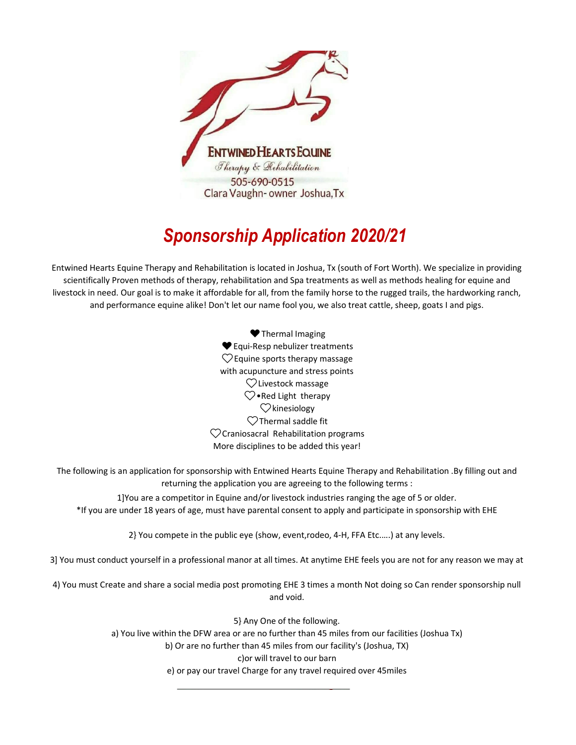

## *Sponsorship Application 2020/21*

Entwined Hearts Equine Therapy and Rehabilitation is located in Joshua, Tx (south of Fort Worth). We specialize in providing scientifically Proven methods of therapy, rehabilitation and Spa treatments as well as methods healing for equine and livestock in need. Our goal is to make it affordable for all, from the family horse to the rugged trails, the hardworking ranch, and performance equine alike! Don't let our name fool you, we also treat cattle, sheep, goats I and pigs.

> $\heartsuit$ Livestock massage  $\heartsuit$ •Red Light therapy  $\heartsuit$ kinesiology ♥Thermal Imaging ♥Equi-Resp nebulizer treatments  $\heartsuit$  Equine sports therapy massage with acupuncture and stress points  $\heartsuit$ Thermal saddle fit  $\heartsuit$ Craniosacral Rehabilitation programs More disciplines to be added this year!

The following is an application for sponsorship with Entwined Hearts Equine Therapy and Rehabilitation .By filling out and returning the application you are agreeing to the following terms :

1]You are a competitor in Equine and/or livestock industries ranging the age of 5 or older. \*If you are under 18 years of age, must have parental consent to apply and participate in sponsorship with EHE

2} You compete in the public eye (show, event,rodeo, 4-H, FFA Etc.….) at any levels.

3] You must conduct yourself in a professional manor at all times. At anytime EHE feels you are not for any reason we may at

4) You must Create and share a social media post promoting EHE 3 times a month Not doing so Can render sponsorship null and void.

> e) or pay our travel Charge for any travel required over 45miles 5} Any One of the following. a) You live within the DFW area or are no further than 45 miles from our facilities (Joshua Tx) b) Or are no further than 45 miles from our facility's (Joshua, TX) c)or will travel to our barn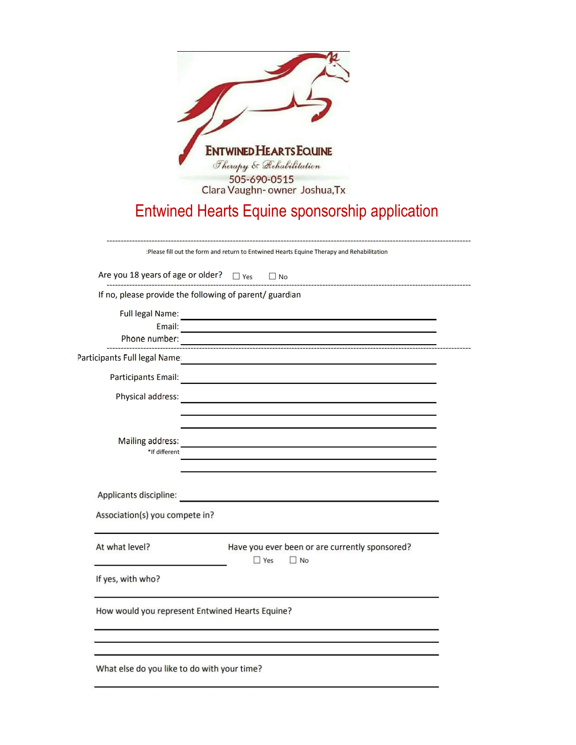| <b>ENTWINED HEARTS EQUINE</b><br>Therapy & Rehabilitation<br>505-690-0515<br>Clara Vaughn- owner Joshua, Tx                                                |  |
|------------------------------------------------------------------------------------------------------------------------------------------------------------|--|
| Entwined Hearts Equine sponsorship application                                                                                                             |  |
| :Please fill out the form and return to Entwined Hearts Equine Therapy and Rehabilitation                                                                  |  |
| Are you 18 years of age or older? $\Box$ Yes $\Box$ No                                                                                                     |  |
| If no, please provide the following of parent/ guardian                                                                                                    |  |
| Email:<br>the contract of the contract of the contract of the contract of the contract of the contract of<br>Phone number:                                 |  |
| Participants Full legal Name:<br><u> 1990 - Jan Barnett, fransk politiker (d. 1980)</u>                                                                    |  |
|                                                                                                                                                            |  |
| Physical address:<br>the control of the control of the control of the control of the control of                                                            |  |
| Mailing address:<br><u> 1989 - Johann Harry Harry Harry Harry Harry Harry Harry Harry Harry Harry Harry Harry Harry Harry Harry Harry</u><br>*If different |  |
| Applicants discipline:<br>Association(s) you compete in?                                                                                                   |  |
| At what level?<br>Have you ever been or are currently sponsored?<br>$\Box$ Yes<br>$\Box$ No<br>If yes, with who?                                           |  |

How would you represent Entwined Hearts Equine?

What else do you like to do with your time?